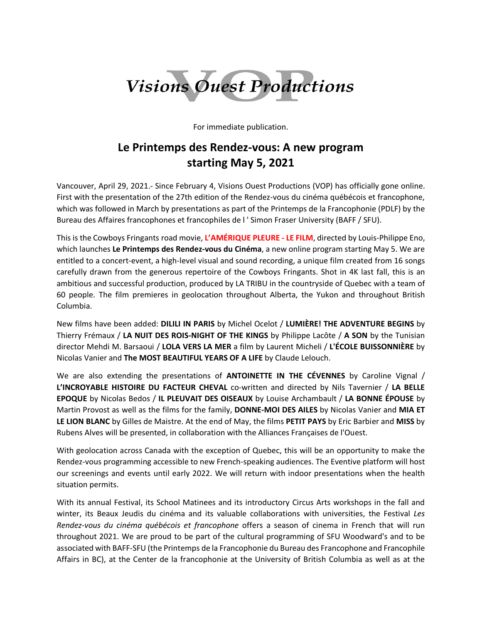

For immediate publication.

## **Le Printemps des Rendez-vous: A new program starting May 5, 2021**

Vancouver, April 29, 2021.- Since February 4, Visions Ouest Productions (VOP) has officially gone online. First with the presentation of the 27th edition of the Rendez-vous du cinéma québécois et francophone, which was followed in March by presentations as part of the Printemps de la Francophonie (PDLF) by the Bureau des Affaires francophones et francophiles de l ' Simon Fraser University (BAFF / SFU).

This is the Cowboys Fringants road movie, **L'AMÉRIQUE PLEURE - LE FILM**, directed by Louis-Philippe Eno, which launches **Le Printemps des Rendez-vous du Cinéma**, a new online program starting May 5. We are entitled to a concert-event, a high-level visual and sound recording, a unique film created from 16 songs carefully drawn from the generous repertoire of the Cowboys Fringants. Shot in 4K last fall, this is an ambitious and successful production, produced by LA TRIBU in the countryside of Quebec with a team of 60 people. The film premieres in geolocation throughout Alberta, the Yukon and throughout British Columbia.

New films have been added: **DILILI IN PARIS** by Michel Ocelot / **LUMIÈRE! THE ADVENTURE BEGINS** by Thierry Frémaux / **LA NUIT DES ROIS-NIGHT OF THE KINGS** by Philippe Lacôte / **A SON** by the Tunisian director Mehdi M. Barsaoui / **LOLA VERS LA MER** a film by Laurent Micheli / **L'ÉCOLE BUISSONNIÈRE** by Nicolas Vanier and **The MOST BEAUTIFUL YEARS OF A LIFE** by Claude Lelouch.

We are also extending the presentations of **ANTOINETTE IN THE CÉVENNES** by Caroline Vignal / **L'INCROYABLE HISTOIRE DU FACTEUR CHEVAL** co-written and directed by Nils Tavernier / **LA BELLE EPOQUE** by Nicolas Bedos / **IL PLEUVAIT DES OISEAUX** by Louise Archambault / **LA BONNE ÉPOUSE** by Martin Provost as well as the films for the family, **DONNE-MOI DES AILES** by Nicolas Vanier and **MIA ET LE LION BLANC** by Gilles de Maistre. At the end of May, the films **PETIT PAYS** by Eric Barbier and **MISS** by Rubens Alves will be presented, in collaboration with the Alliances Françaises de l'Ouest.

With geolocation across Canada with the exception of Quebec, this will be an opportunity to make the Rendez-vous programming accessible to new French-speaking audiences. The Eventive platform will host our screenings and events until early 2022. We will return with indoor presentations when the health situation permits.

With its annual Festival, its School Matinees and its introductory Circus Arts workshops in the fall and winter, its Beaux Jeudis du cinéma and its valuable collaborations with universities, the Festival *Les Rendez-vous du cinéma québécois et francophone* offers a season of cinema in French that will run throughout 2021. We are proud to be part of the cultural programming of SFU Woodward's and to be associated with BAFF-SFU (the Printemps de la Francophonie du Bureau des Francophone and Francophile Affairs in BC), at the Center de la francophonie at the University of British Columbia as well as at the